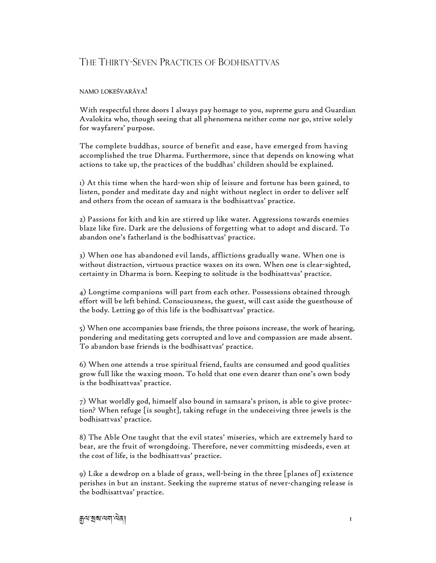## THE THIRTY-SEVEN PRACTICES OF BODHISATTVAS

## namo lokeśvarāya!

With respectful three doors I always pay homage to you, supreme guru and Guardian Avalokita who, though seeing that all phenomena neither come nor go, strive solely for wayfarers' purpose.

The complete buddhas, source of benefit and ease, have emerged from having accomplished the true Dharma. Furthermore, since that depends on knowing what actions to take up, the practices of the buddhas' children should be explained.

1) At this time when the hard-won ship of leisure and fortune has been gained, to listen, ponder and meditate day and night without neglect in order to deliver self and others from the ocean of samsara is the bodhisattvas' practice.

2) Passions for kith and kin are stirred up like water. Aggressions towards enemies blaze like fire. Dark are the delusions of forgetting what to adopt and discard. To abandon one's fatherland is the bodhisattvas' practice.

3) When one has abandoned evil lands, afflictions gradually wane. When one is without distraction, virtuous practice waxes on its own. When one is clear-sighted, certainty in Dharma is born. Keeping to solitude is the bodhisattvas' practice.

4) Longtime companions will part from each other. Possessions obtained through effort will be left behind. Consciousness, the guest, will cast aside the guesthouse of the body. Letting go of this life is the bodhisattvas' practice.

5) When one accompanies base friends, the three poisons increase, the work of hearing, pondering and meditating gets corrupted and love and compassion are made absent. To abandon base friends is the bodhisattvas' practice.

6) When one attends a true spiritual friend, faults are consumed and good qualities grow full like the waxing moon. To hold that one even dearer than one's own body is the bodhisattvas' practice.

7) What worldly god, himself also bound in samsara's prison, is able to give protection? When refuge [is sought], taking refuge in the undeceiving three jewels is the bodhisattvas' practice.

8) The Able One taught that the evil states' miseries, which are extremely hard to bear, are the fruit of wrongdoing. Therefore, never committing misdeeds, even at the cost of life, is the bodhisattvas' practice.

9) Like a dewdrop on a blade of grass, well-being in the three [planes of] existence perishes in but an instant. Seeking the supreme status of never-changing release is the bodhisattvas' practice.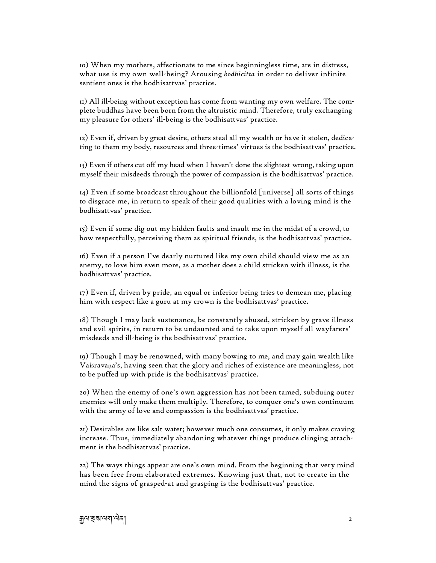10) When my mothers, affectionate to me since beginningless time, are in distress, what use is my own well-being? Arousing *bodhicitta* in order to deliver infinite sentient ones is the bodhisattvas' practice.

11) All ill-being without exception has come from wanting my own welfare. The complete buddhas have been born from the altruistic mind. Therefore, truly exchanging my pleasure for others' ill-being is the bodhisattvas' practice.

12) Even if, driven by great desire, others steal all my wealth or have it stolen, dedicating to them my body, resources and three-times' virtues is the bodhisattvas' practice.

13) Even if others cut off my head when I haven't done the slightest wrong, taking upon myself their misdeeds through the power of compassion is the bodhisattvas' practice.

14) Even if some broadcast throughout the billionfold [universe] all sorts of things to disgrace me, in return to speak of their good qualities with a loving mind is the bodhisattvas' practice.

15) Even if some dig out my hidden faults and insult me in the midst of a crowd, to bow respectfully, perceiving them as spiritual friends, is the bodhisattvas' practice.

16) Even if a person I've dearly nurtured like my own child should view me as an enemy, to love him even more, as a mother does a child stricken with illness, is the bodhisattvas' practice.

17) Even if, driven by pride, an equal or inferior being tries to demean me, placing him with respect like a guru at my crown is the bodhisattvas' practice.

18) Though I may lack sustenance, be constantly abused, stricken by grave illness and evil spirits, in return to be undaunted and to take upon myself all wayfarers' misdeeds and ill-being is the bodhisattvas' practice.

19) Though I may be renowned, with many bowing to me, and may gain wealth like Vaiśravaṇa's, having seen that the glory and riches of existence are meaningless, not to be puffed up with pride is the bodhisattvas' practice.

20) When the enemy of one's own aggression has not been tamed, subduing outer enemies will only make them multiply. Therefore, to conquer one's own continuum with the army of love and compassion is the bodhisattvas' practice.

21) Desirables are like salt water; however much one consumes, it only makes craving increase. Thus, immediately abandoning whatever things produce clinging attachment is the bodhisattvas' practice.

22) The ways things appear are one's own mind. From the beginning that very mind has been free from elaborated extremes. Knowing just that, not to create in the mind the signs of grasped-at and grasping is the bodhisattvas' practice.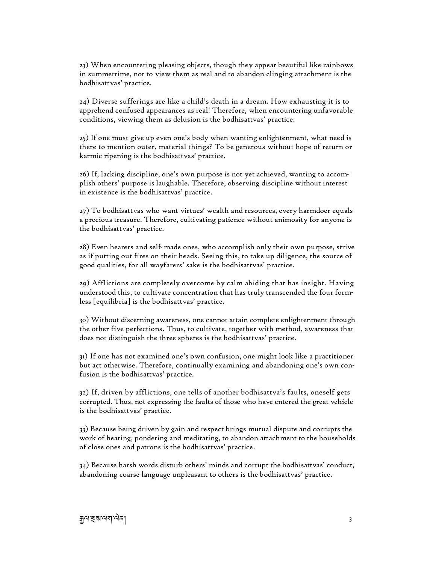23) When encountering pleasing objects, though they appear beautiful like rainbows in summertime, not to view them as real and to abandon clinging attachment is the bodhisattvas' practice.

24) Diverse sufferings are like a child's death in a dream. How exhausting it is to apprehend confused appearances as real! Therefore, when encountering unfavorable conditions, viewing them as delusion is the bodhisattvas' practice.

25) If one must give up even one's body when wanting enlightenment, what need is there to mention outer, material things? To be generous without hope of return or karmic ripening is the bodhisattvas' practice.

26) If, lacking discipline, one's own purpose is not yet achieved, wanting to accomplish others' purpose is laughable. Therefore, observing discipline without interest in existence is the bodhisattvas' practice.

27) To bodhisattvas who want virtues' wealth and resources, every harmdoer equals a precious treasure. Therefore, cultivating patience without animosity for anyone is the bodhisattvas' practice.

28) Even hearers and self-made ones, who accomplish only their own purpose, strive as if putting out fires on their heads. Seeing this, to take up diligence, the source of good qualities, for all wayfarers' sake is the bodhisattvas' practice.

29) Afflictions are completely overcome by calm abiding that has insight. Having understood this, to cultivate concentration that has truly transcended the four formless [equilibria] is the bodhisattvas' practice.

30) Without discerning awareness, one cannot attain complete enlightenment through the other five perfections. Thus, to cultivate, together with method, awareness that does not distinguish the three spheres is the bodhisattvas' practice.

31) If one has not examined one's own confusion, one might look like a practitioner but act otherwise. Therefore, continually examining and abandoning one's own confusion is the bodhisattvas' practice.

32) If, driven by afflictions, one tells of another bodhisattva's faults, oneself gets corrupted. Thus, not expressing the faults of those who have entered the great vehicle is the bodhisattvas' practice.

33) Because being driven by gain and respect brings mutual dispute and corrupts the work of hearing, pondering and meditating, to abandon attachment to the households of close ones and patrons is the bodhisattvas' practice.

34) Because harsh words disturb others' minds and corrupt the bodhisattvas' conduct, abandoning coarse language unpleasant to others is the bodhisattvas' practice.